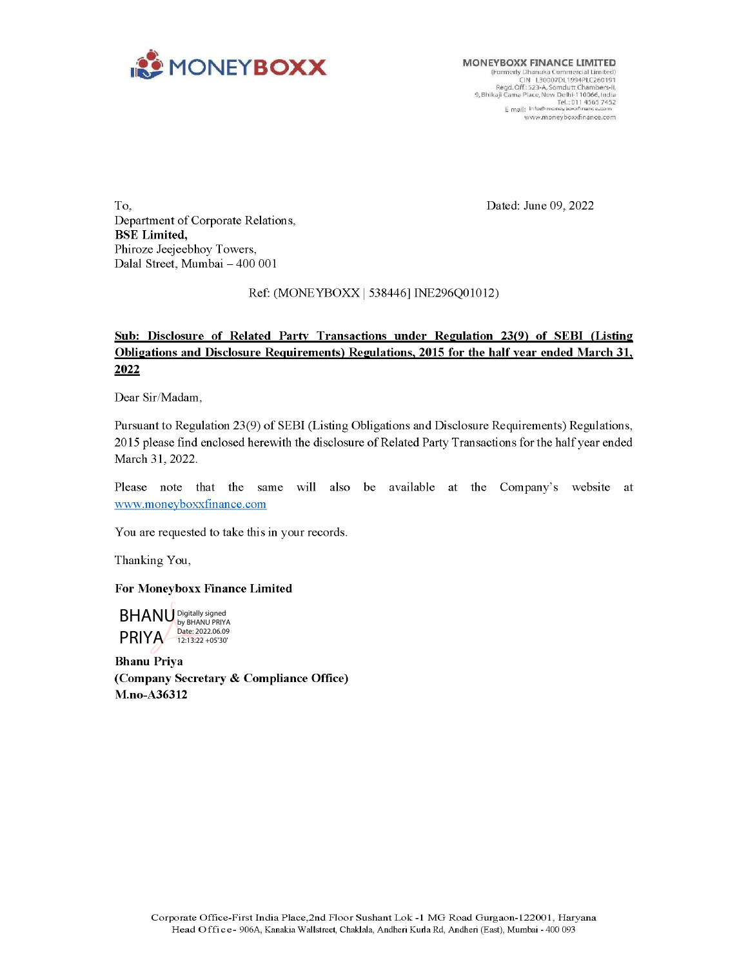

MONEYBOXX FINANCE LIMITED<br>
(Formedy Dhanuka Commercial Limited)<br>
CIN L30007DL1094PLC260191<br>
Regd.Off: 523-A, Somdutt Chambers-II,<br>
9, Bhikaji Cama Place, New Delhi-110066, India<br>
The Table District www.mioney.midra<br>Tel.:0114567462<br>E mail: info@moneyboxxfinance.com<br>www.moneyboxxfinance.com

Dated: June 09, 2022

To, Department of Corporate Relations, BSE Limited, Phiroze Jeejeebhoy Towers, Dalal Street, Mumbai — 400 001

### Ref: (MONE YBOXX | 538446] INE296Q01012)

## Sub: Disclosure of Related Party Transactions under Regulation 23(9) of SEBI (Listing Obligations and\_ Disclosure Requirements) Regulations, 2015 for the half year ended March 31, 2022

Dear Sir/Madam,

Pursuant to Regulation 23(9) of SEBI (Listing Obligations and Disclosure Requirements) Regulations, 2015 please find enclosed herewith the disclosure of Related Party Transactions for the half year ended March 31, 2022.

Please note that the same will also be available at the Company's website at www.moneyboxxfinance.com

You are requested to take this in your records.

Thanking You,

For Moneyboxx Finance Limited

PRIYA Digitally signed by BHANU PRIYA Date: 2022.06.09 12:13:22 +05'30'

Bhanu Priya (Company Secretary & Compliance Office) M.no-A36312  $\mathsf{BHANU}\xspace_\mathsf{Dir}^\mathsf{BHANU\,PSHV}\xspace_\mathsf{PSHVA}\xspace_\mathsf{121322+06309}$ <br>
Shanu Priya<br>
Shanu Priya<br>
Company Secretary & Compliance Office)<br>
A.no-A36312<br>
Corporate Office- <sup>Stri</sup>st India Place,2nd Floor Sushant Lok - 1 MG Road Gurgaon-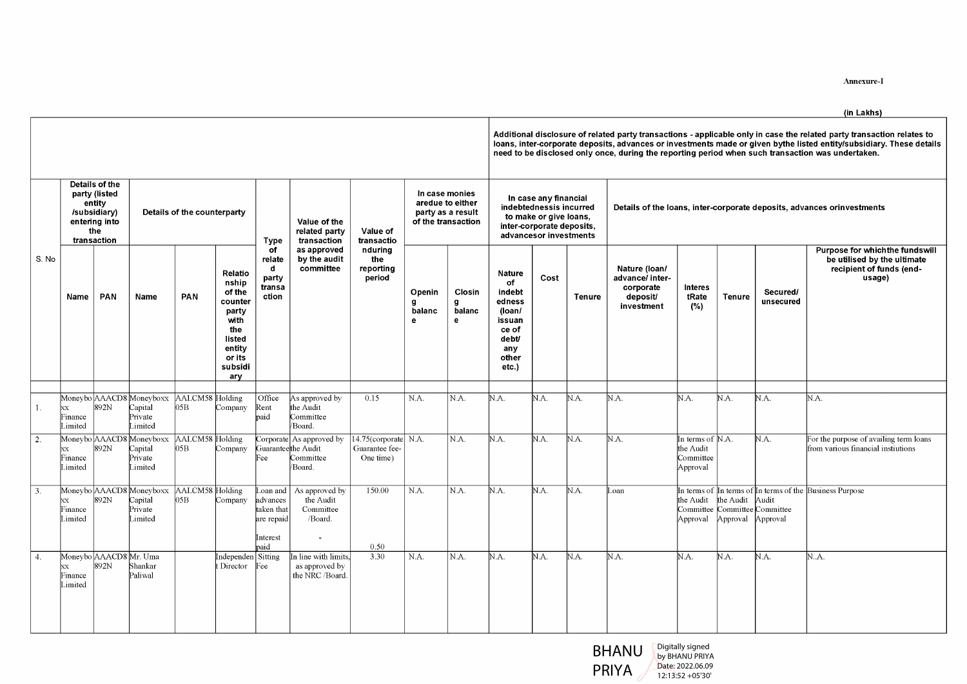# (in Lakhs)

|                     |                                                      | Details of the                                                                               |                                                                                                                                                                                       |                                           |                                                                                   |                                                              |                                                                                                                                     |                                                                 |                                               |                                                                                                      |                                                                                      |                                                                                                                                           |              |                                                                         |                                                                          |               |                                       | Annexure-I<br>(in Lakhs)<br>Additional disclosure of related party transactions - applicable only in case the related party transaction relates to<br>loans, inter-corporate deposits, advances or investments made or given bythe listed entity/subsidiary. These details<br>need to be disclosed only once, during the reporting period when such transaction was undertaken. |
|---------------------|------------------------------------------------------|----------------------------------------------------------------------------------------------|---------------------------------------------------------------------------------------------------------------------------------------------------------------------------------------|-------------------------------------------|-----------------------------------------------------------------------------------|--------------------------------------------------------------|-------------------------------------------------------------------------------------------------------------------------------------|-----------------------------------------------------------------|-----------------------------------------------|------------------------------------------------------------------------------------------------------|--------------------------------------------------------------------------------------|-------------------------------------------------------------------------------------------------------------------------------------------|--------------|-------------------------------------------------------------------------|--------------------------------------------------------------------------|---------------|---------------------------------------|---------------------------------------------------------------------------------------------------------------------------------------------------------------------------------------------------------------------------------------------------------------------------------------------------------------------------------------------------------------------------------|
| S. No               | Name                                                 | party (listed<br>entity<br>/subsidiary)<br>entering into<br>the<br>transaction<br><b>PAN</b> | Name                                                                                                                                                                                  | Details of the counterparty<br><b>PAN</b> | Relatio<br>nship<br>of the<br>counter<br>party<br>with<br>the<br>listed<br>entity | <b>Type</b><br>оf<br>relate<br>d<br>party<br>transa<br>ction | Value of the<br>related party<br>transaction<br>as approved<br>by the audit<br>committee                                            | Value of<br>transactio<br>nduring<br>the<br>reporting<br>period | In case monies<br>Openin<br>9<br>balanc<br>e. | aredue to either<br>party as a result<br>of the transaction<br>Closin<br>g<br>balanc<br>$\mathbf{e}$ | <b>Nature</b><br>of<br>indebt<br>edness<br>(Ioan/<br>issuan<br>ce of<br>debt/<br>any | In case any financial<br>indebtednessis incurred<br>to make or give loans,<br>inter-corporate deposits,<br>advancesor investments<br>Cost | Tenure       | Nature (loan/<br>advance/ inter-<br>corporate<br>deposit/<br>investment | <b>Interes</b><br>tRate<br>(%)                                           | <b>Tenure</b> | Secured/<br>unsecurea                 | Details of the loans, inter-corporate deposits, advances orinvestments<br>Purpose for which the fundswill<br>be utilised by the ultimate<br>recipient of funds (end-<br>usage)                                                                                                                                                                                                  |
| 1.<br>2.            | Finance<br>Limited<br>ХX<br>Finance<br>Limited       | 892N                                                                                         | Moneybo AAACD8 Moneyboxx AALCM58 Holding<br>xx 892N Capital 05B Company<br>Capital<br>Private<br>Limited<br>Moneybo AAACD8 Moneyboxx AALCM58 Holding<br>Capital<br>Private<br>Limited | 05B                                       | or its<br>subsidi<br>ary<br>Company<br>Company                                    | Office<br>Rent<br>paid<br>Fee                                | As approved by<br>the Audit<br>Committee<br>Board.<br>Corporate As approved by<br>Guaranteethe Audit<br>Committee<br>/Board.        | 0.15<br>$14.75$ (corporate N.A.<br>Guarantee fee-<br>One time)  | N.A.                                          | N.A.<br>N.A.                                                                                         | other<br>etc.)<br>N.A.<br>N.A.                                                       | $NA$ .<br>N.A.                                                                                                                            | NA.<br>N.A.  | NA.<br>NA.                                                              | N.A.<br>In terms of N.A.<br>the Audit<br>Committee<br>Approval           | N.A.          | NA<br>N.A.                            | N.A.<br>For the purpose of availing term loans<br>from various financial instiutions                                                                                                                                                                                                                                                                                            |
| $\boxed{3}$ .<br>4. | XX<br>Finance<br>Limited<br>XX<br>Finance<br>Limited | 892N<br>892N                                                                                 | Moneybo AAACD8 Moneyboxx AALCM58 Holding<br>Capital<br>Private<br>Limited<br>Moneybo AAACD8 Mr. Uma<br>Shankar<br>Paliwal                                                             | 05B                                       | Company<br>Independen Sitting<br>t Director Fee                                   | advances<br>taken that<br>are repaid<br>Interest<br>paid     | Loan and As approved by<br>the Audit<br>Committee<br>/Board.<br>$\sim$<br>In line with limits,<br>as approved by<br>the NRC /Board. | 150.00<br>0.50<br>3.30                                          | N.A.<br>N.A.                                  | N.A.<br>N.A.                                                                                         | N.A.<br>N.A.                                                                         | $NA$ .<br>N.A.                                                                                                                            | N.A.<br>N.A. | Loan<br>NA.                                                             | the Audit $\theta$ the Audit Audit<br>Approval Approval Approval<br>N.A. | N.A.          | Committee Committee Committee<br>N.A. | In terms of In terms of In terms of the Business Purpose<br>N.A.                                                                                                                                                                                                                                                                                                                |



Digitally signed by BHANU PRIYA Date: 2022.06.09 12:13:52 +05'30'